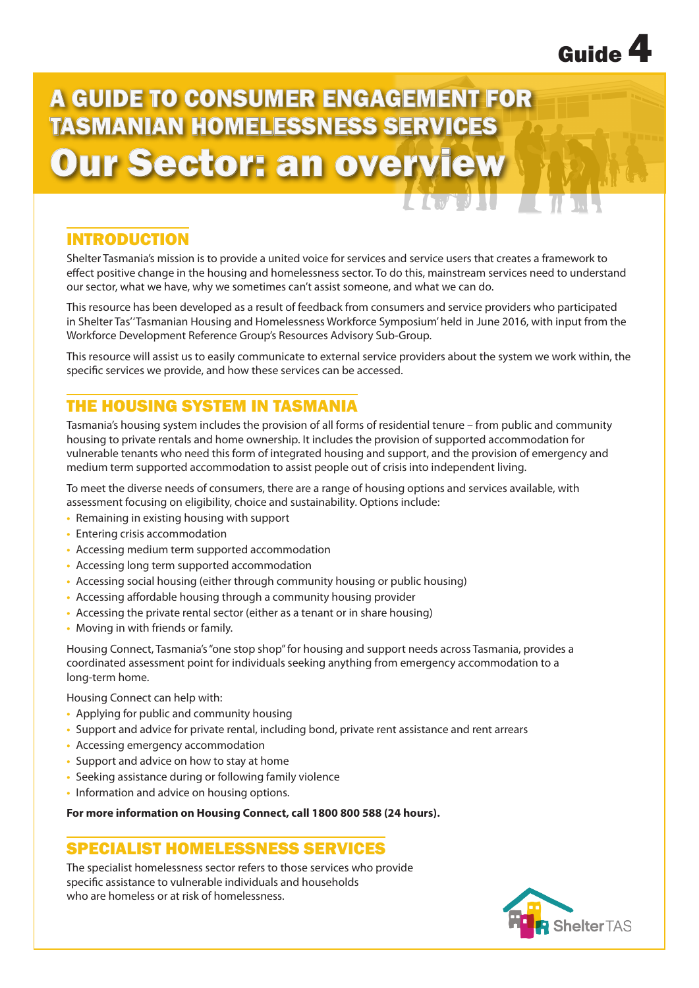

# A GUIDE TO CONSUMER ENGAGEMENT FOR TASMANIAN HOMELESSNESS SERVICES Our Sector: an overview

## INTRODUCTION

Shelter Tasmania's mission is to provide a united voice for services and service users that creates a framework to effect positive change in the housing and homelessness sector. To do this, mainstream services need to understand our sector, what we have, why we sometimes can't assist someone, and what we can do.

This resource has been developed as a result of feedback from consumers and service providers who participated in Shelter Tas' 'Tasmanian Housing and Homelessness Workforce Symposium' held in June 2016, with input from the Workforce Development Reference Group's Resources Advisory Sub-Group.

This resource will assist us to easily communicate to external service providers about the system we work within, the specific services we provide, and how these services can be accessed.

# THE HOUSING SYSTEM IN TASMANIA

Tasmania's housing system includes the provision of all forms of residential tenure – from public and community housing to private rentals and home ownership. It includes the provision of supported accommodation for vulnerable tenants who need this form of integrated housing and support, and the provision of emergency and medium term supported accommodation to assist people out of crisis into independent living.

To meet the diverse needs of consumers, there are a range of housing options and services available, with assessment focusing on eligibility, choice and sustainability. Options include:

- **•** Remaining in existing housing with support
- **•** Entering crisis accommodation
- **•** Accessing medium term supported accommodation
- **•** Accessing long term supported accommodation
- Accessing social housing (either through community housing or public housing)
- **•** Accessing affordable housing through a community housing provider
- **•** Accessing the private rental sector (either as a tenant or in share housing)
- **•** Moving in with friends or family.

Housing Connect, Tasmania's "one stop shop" for housing and support needs across Tasmania, provides a coordinated assessment point for individuals seeking anything from emergency accommodation to a long-term home.

Housing Connect can help with:

- **•** Applying for public and community housing
- **•** Support and advice for private rental, including bond, private rent assistance and rent arrears
- **•** Accessing emergency accommodation
- **•** Support and advice on how to stay at home
- **•** Seeking assistance during or following family violence
- **•** Information and advice on housing options.

### **For more information on Housing Connect, call 1800 800 588 (24 hours).**

## SPECIALIST HOMELESSNESS SERVICES

The specialist homelessness sector refers to those services who provide specific assistance to vulnerable individuals and households who are homeless or at risk of homelessness.

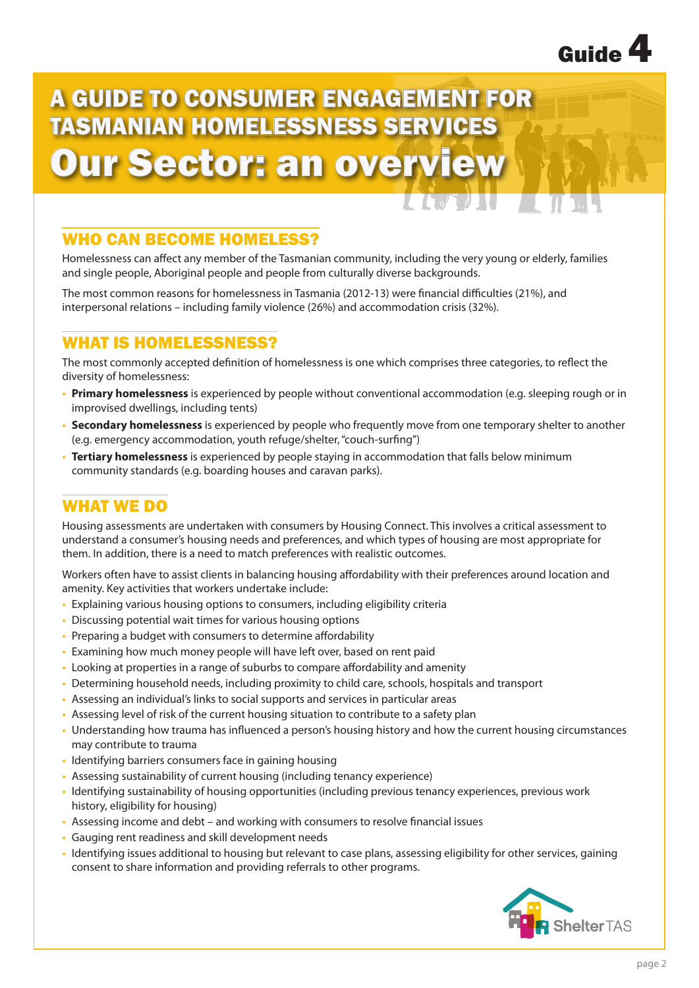

# A GUIDE TO CONSUMER ENGAGEMENT FOR TASMANIAN HOMELESSNESS SERVICES Our Sector: an overview

# WHO CAN BECOME HOMELESS?

Homelessness can affect any member of the Tasmanian community, including the very young or elderly, families and single people, Aboriginal people and people from culturally diverse backgrounds.

The most common reasons for homelessness in Tasmania (2012-13) were financial difficulties (21%), and interpersonal relations – including family violence (26%) and accommodation crisis (32%).

## WHAT IS HOMELESSNESS?

The most commonly accepted definition of homelessness is one which comprises three categories, to reflect the diversity of homelessness:

- **• Primary homelessness** is experienced by people without conventional accommodation (e.g. sleeping rough or in improvised dwellings, including tents)
- **• Secondary homelessness** is experienced by people who frequently move from one temporary shelter to another (e.g. emergency accommodation, youth refuge/shelter, "couch-surfing")
- **• Tertiary homelessness** is experienced by people staying in accommodation that falls below minimum community standards (e.g. boarding houses and caravan parks).

# WHAT WE DO

Housing assessments are undertaken with consumers by Housing Connect. This involves a critical assessment to understand a consumer's housing needs and preferences, and which types of housing are most appropriate for them. In addition, there is a need to match preferences with realistic outcomes.

Workers often have to assist clients in balancing housing affordability with their preferences around location and amenity. Key activities that workers undertake include:

- **•** Explaining various housing options to consumers, including eligibility criteria
- **•** Discussing potential wait times for various housing options
- **•** Preparing a budget with consumers to determine affordability
- **•** Examining how much money people will have left over, based on rent paid
- **•** Looking at properties in a range of suburbs to compare affordability and amenity
- **•** Determining household needs, including proximity to child care, schools, hospitals and transport
- **•** Assessing an individual's links to social supports and services in particular areas
- **•** Assessing level of risk of the current housing situation to contribute to a safety plan
- **•** Understanding how trauma has influenced a person's housing history and how the current housing circumstances may contribute to trauma
- **•** Identifying barriers consumers face in gaining housing
- **•** Assessing sustainability of current housing (including tenancy experience)
- **•** Identifying sustainability of housing opportunities (including previous tenancy experiences, previous work history, eligibility for housing)
- **•** Assessing income and debt and working with consumers to resolve financial issues
- **•** Gauging rent readiness and skill development needs
- **•** Identifying issues additional to housing but relevant to case plans, assessing eligibility for other services, gaining consent to share information and providing referrals to other programs.

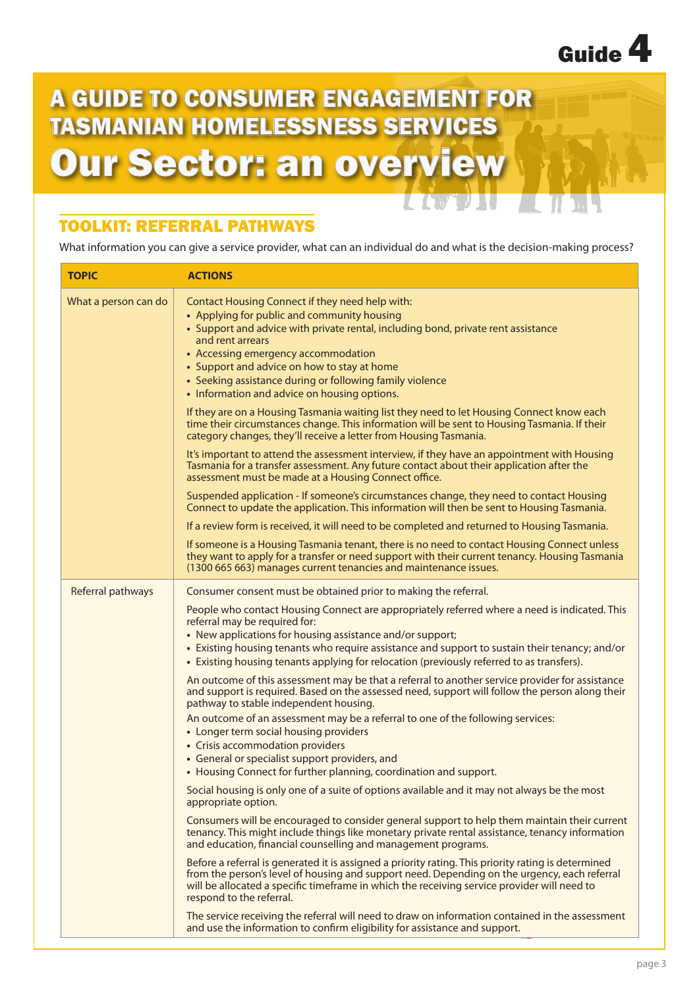

# A GUIDE TO CONSUMER ENGAGEMENT FOR TASMANIAN HOMELESSNESS SERVICES Our Sector: an overview

# TOOLKIT: REFERRAL PATHWAYS

What information you can give a service provider, what can an individual do and what is the decision-making process?

TJIU

 $\mathcal{L}$  ,  $\mathcal{L}$  ,  $\mathcal{L}$ 

| <b>TOPIC</b>         | <b>ACTIONS</b>                                                                                                                                                                                                                                                                                                                                                                                            |
|----------------------|-----------------------------------------------------------------------------------------------------------------------------------------------------------------------------------------------------------------------------------------------------------------------------------------------------------------------------------------------------------------------------------------------------------|
| What a person can do | Contact Housing Connect if they need help with:<br>• Applying for public and community housing<br>• Support and advice with private rental, including bond, private rent assistance<br>and rent arrears<br>• Accessing emergency accommodation<br>• Support and advice on how to stay at home<br>• Seeking assistance during or following family violence<br>• Information and advice on housing options. |
|                      | If they are on a Housing Tasmania waiting list they need to let Housing Connect know each<br>time their circumstances change. This information will be sent to Housing Tasmania. If their<br>category changes, they'll receive a letter from Housing Tasmania.                                                                                                                                            |
|                      | It's important to attend the assessment interview, if they have an appointment with Housing<br>Tasmania for a transfer assessment. Any future contact about their application after the<br>assessment must be made at a Housing Connect office.                                                                                                                                                           |
|                      | Suspended application - If someone's circumstances change, they need to contact Housing<br>Connect to update the application. This information will then be sent to Housing Tasmania.                                                                                                                                                                                                                     |
|                      | If a review form is received, it will need to be completed and returned to Housing Tasmania.                                                                                                                                                                                                                                                                                                              |
|                      | If someone is a Housing Tasmania tenant, there is no need to contact Housing Connect unless<br>they want to apply for a transfer or need support with their current tenancy. Housing Tasmania<br>(1300 665 663) manages current tenancies and maintenance issues.                                                                                                                                         |
| Referral pathways    | Consumer consent must be obtained prior to making the referral.                                                                                                                                                                                                                                                                                                                                           |
|                      | People who contact Housing Connect are appropriately referred where a need is indicated. This<br>referral may be required for:<br>• New applications for housing assistance and/or support;<br>• Existing housing tenants who require assistance and support to sustain their tenancy; and/or<br>• Existing housing tenants applying for relocation (previously referred to as transfers).                |
|                      | An outcome of this assessment may be that a referral to another service provider for assistance<br>and support is required. Based on the assessed need, support will follow the person along their<br>pathway to stable independent housing.                                                                                                                                                              |
|                      | An outcome of an assessment may be a referral to one of the following services:<br>• Longer term social housing providers<br>• Crisis accommodation providers                                                                                                                                                                                                                                             |
|                      | • General or specialist support providers, and<br>• Housing Connect for further planning, coordination and support.                                                                                                                                                                                                                                                                                       |
|                      | Social housing is only one of a suite of options available and it may not always be the most<br>appropriate option.                                                                                                                                                                                                                                                                                       |
|                      | Consumers will be encouraged to consider general support to help them maintain their current<br>tenancy. This might include things like monetary private rental assistance, tenancy information<br>and education, financial counselling and management programs.                                                                                                                                          |
|                      | Before a referral is generated it is assigned a priority rating. This priority rating is determined<br>from the person's level of housing and support need. Depending on the urgency, each referral<br>will be allocated a specific timeframe in which the receiving service provider will need to<br>respond to the referral.                                                                            |
|                      | The service receiving the referral will need to draw on information contained in the assessment<br>and use the information to confirm eligibility for assistance and support.                                                                                                                                                                                                                             |